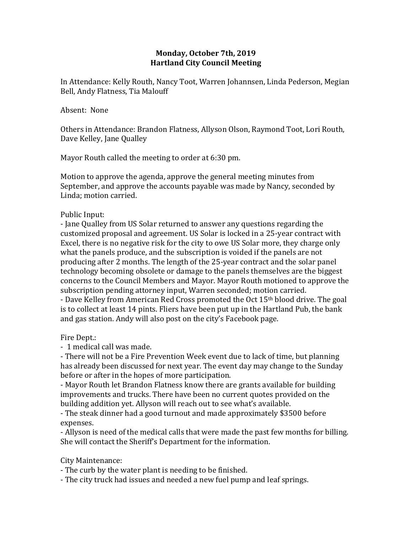## **Monday, October 7th, 2019 Hartland City Council Meeting**

In Attendance: Kelly Routh, Nancy Toot, Warren Johannsen, Linda Pederson, Megian Bell, Andy Flatness, Tia Malouff

## Absent: None

Others in Attendance: Brandon Flatness, Allyson Olson, Raymond Toot, Lori Routh, Dave Kelley, Jane Qualley

Mayor Routh called the meeting to order at 6:30 pm.

Motion to approve the agenda, approve the general meeting minutes from September, and approve the accounts payable was made by Nancy, seconded by Linda; motion carried.

Public Input:

- Jane Qualley from US Solar returned to answer any questions regarding the customized proposal and agreement. US Solar is locked in a 25-year contract with Excel, there is no negative risk for the city to owe US Solar more, they charge only what the panels produce, and the subscription is voided if the panels are not producing after 2 months. The length of the 25-year contract and the solar panel technology becoming obsolete or damage to the panels themselves are the biggest concerns to the Council Members and Mayor. Mayor Routh motioned to approve the subscription pending attorney input, Warren seconded; motion carried.

- Dave Kelley from American Red Cross promoted the Oct 15<sup>th</sup> blood drive. The goal is to collect at least 14 pints. Fliers have been put up in the Hartland Pub, the bank and gas station. Andy will also post on the city's Facebook page.

Fire Dept.:

- 1 medical call was made.

- There will not be a Fire Prevention Week event due to lack of time, but planning has already been discussed for next year. The event day may change to the Sunday before or after in the hopes of more participation.

- Mayor Routh let Brandon Flatness know there are grants available for building improvements and trucks. There have been no current quotes provided on the building addition yet. Allyson will reach out to see what's available.

- The steak dinner had a good turnout and made approximately \$3500 before expenses.

- Allyson is need of the medical calls that were made the past few months for billing. She will contact the Sheriff's Department for the information.

## City Maintenance:

- The curb by the water plant is needing to be finished.

- The city truck had issues and needed a new fuel pump and leaf springs.